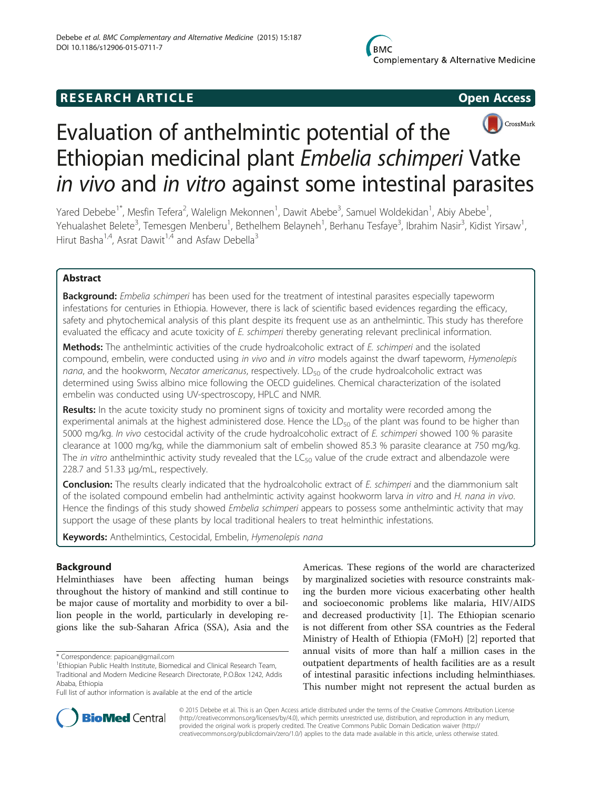# **RESEARCH ARTICLE Example 2014 CONSIDERING CONSIDERING CONSIDERING CONSIDERING CONSIDERING CONSIDERING CONSIDERING CONSIDERING CONSIDERING CONSIDERING CONSIDERING CONSIDERING CONSIDERING CONSIDERING CONSIDERING CONSIDE**





# Evaluation of anthelmintic potential of the Ethiopian medicinal plant Embelia schimperi Vatke in vivo and in vitro against some intestinal parasites

Yared Debebe<sup>1\*</sup>, Mesfin Tefera<sup>2</sup>, Walelign Mekonnen<sup>1</sup>, Dawit Abebe<sup>3</sup>, Samuel Woldekidan<sup>1</sup>, Abiy Abebe<sup>1</sup> , Yehualashet Belete<sup>3</sup>, Temesgen Menberu<sup>1</sup>, Bethelhem Belayneh<sup>1</sup>, Berhanu Tesfaye<sup>3</sup>, Ibrahim Nasir<sup>3</sup>, Kidist Yirsaw<sup>1</sup> , Hirut Basha<sup>1,4</sup>, Asrat Dawit<sup>1,4</sup> and Asfaw Debella<sup>3</sup>

# Abstract

Background: Embelia schimperi has been used for the treatment of intestinal parasites especially tapeworm infestations for centuries in Ethiopia. However, there is lack of scientific based evidences regarding the efficacy, safety and phytochemical analysis of this plant despite its frequent use as an anthelmintic. This study has therefore evaluated the efficacy and acute toxicity of E. schimperi thereby generating relevant preclinical information.

Methods: The anthelmintic activities of the crude hydroalcoholic extract of E. schimperi and the isolated compound, embelin, were conducted using in vivo and in vitro models against the dwarf tapeworm, Hymenolepis nana, and the hookworm, Necator americanus, respectively.  $LD_{50}$  of the crude hydroalcoholic extract was determined using Swiss albino mice following the OECD guidelines. Chemical characterization of the isolated embelin was conducted using UV-spectroscopy, HPLC and NMR.

Results: In the acute toxicity study no prominent signs of toxicity and mortality were recorded among the experimental animals at the highest administered dose. Hence the  $LD_{50}$  of the plant was found to be higher than 5000 mg/kg. In vivo cestocidal activity of the crude hydroalcoholic extract of E. schimperi showed 100 % parasite clearance at 1000 mg/kg, while the diammonium salt of embelin showed 85.3 % parasite clearance at 750 mg/kg. The in vitro anthelminthic activity study revealed that the  $LC_{50}$  value of the crude extract and albendazole were 228.7 and 51.33 μg/mL, respectively.

Conclusion: The results clearly indicated that the hydroalcoholic extract of E. schimperi and the diammonium salt of the isolated compound embelin had anthelmintic activity against hookworm larva in vitro and H. nana in vivo. Hence the findings of this study showed Embelia schimperi appears to possess some anthelmintic activity that may support the usage of these plants by local traditional healers to treat helminthic infestations.

Keywords: Anthelmintics, Cestocidal, Embelin, Hymenolepis nana

# Background

Helminthiases have been affecting human beings throughout the history of mankind and still continue to be major cause of mortality and morbidity to over a billion people in the world, particularly in developing regions like the sub-Saharan Africa (SSA), Asia and the

\* Correspondence: [papioan@gmail.com](mailto:papioan@gmail.com) <sup>1</sup>

Americas. These regions of the world are characterized by marginalized societies with resource constraints making the burden more vicious exacerbating other health and socioeconomic problems like malaria, HIV/AIDS and decreased productivity [[1\]](#page-5-0). The Ethiopian scenario is not different from other SSA countries as the Federal Ministry of Health of Ethiopia (FMoH) [[2\]](#page-5-0) reported that annual visits of more than half a million cases in the outpatient departments of health facilities are as a result of intestinal parasitic infections including helminthiases. This number might not represent the actual burden as



© 2015 Debebe et al. This is an Open Access article distributed under the terms of the Creative Commons Attribution License [\(http://creativecommons.org/licenses/by/4.0\)](http://creativecommons.org/licenses/by/4.0), which permits unrestricted use, distribution, and reproduction in any medium, provided the original work is properly credited. The Creative Commons Public Domain Dedication waiver [\(http://](http://creativecommons.org/publicdomain/zero/1.0/) [creativecommons.org/publicdomain/zero/1.0/\)](http://creativecommons.org/publicdomain/zero/1.0/) applies to the data made available in this article, unless otherwise stated.

<sup>&</sup>lt;sup>1</sup> Ethiopian Public Health Institute, Biomedical and Clinical Research Team, Traditional and Modern Medicine Research Directorate, P.O.Box 1242, Addis Ababa, Ethiopia

Full list of author information is available at the end of the article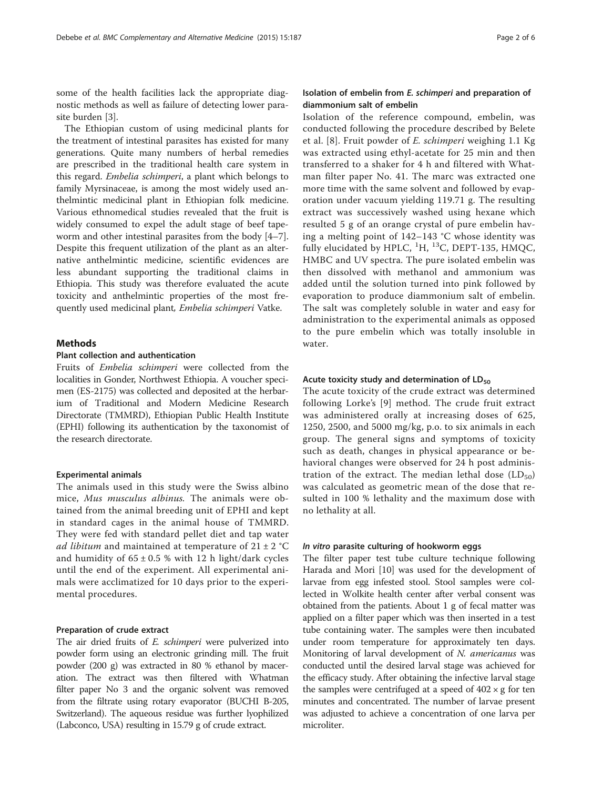some of the health facilities lack the appropriate diagnostic methods as well as failure of detecting lower parasite burden [[3\]](#page-5-0).

The Ethiopian custom of using medicinal plants for the treatment of intestinal parasites has existed for many generations. Quite many numbers of herbal remedies are prescribed in the traditional health care system in this regard. Embelia schimperi, a plant which belongs to family Myrsinaceae, is among the most widely used anthelmintic medicinal plant in Ethiopian folk medicine. Various ethnomedical studies revealed that the fruit is widely consumed to expel the adult stage of beef tapeworm and other intestinal parasites from the body [\[4](#page-5-0)–[7](#page-5-0)]. Despite this frequent utilization of the plant as an alternative anthelmintic medicine, scientific evidences are less abundant supporting the traditional claims in Ethiopia. This study was therefore evaluated the acute toxicity and anthelmintic properties of the most frequently used medicinal plant, Embelia schimperi Vatke.

# **Methods**

#### Plant collection and authentication

Fruits of Embelia schimperi were collected from the localities in Gonder, Northwest Ethiopia. A voucher specimen (ES-2175) was collected and deposited at the herbarium of Traditional and Modern Medicine Research Directorate (TMMRD), Ethiopian Public Health Institute (EPHI) following its authentication by the taxonomist of the research directorate.

#### Experimental animals

The animals used in this study were the Swiss albino mice, Mus musculus albinus. The animals were obtained from the animal breeding unit of EPHI and kept in standard cages in the animal house of TMMRD. They were fed with standard pellet diet and tap water ad libitum and maintained at temperature of  $21 \pm 2$  °C and humidity of  $65 \pm 0.5$  % with 12 h light/dark cycles until the end of the experiment. All experimental animals were acclimatized for 10 days prior to the experimental procedures.

#### Preparation of crude extract

The air dried fruits of *E. schimperi* were pulverized into powder form using an electronic grinding mill. The fruit powder (200 g) was extracted in 80 % ethanol by maceration. The extract was then filtered with Whatman filter paper No 3 and the organic solvent was removed from the filtrate using rotary evaporator (BUCHI B-205, Switzerland). The aqueous residue was further lyophilized (Labconco, USA) resulting in 15.79 g of crude extract.

## Isolation of embelin from E. schimperi and preparation of diammonium salt of embelin

Isolation of the reference compound, embelin, was conducted following the procedure described by Belete et al. [[8\]](#page-5-0). Fruit powder of E. schimperi weighing 1.1 Kg was extracted using ethyl-acetate for 25 min and then transferred to a shaker for 4 h and filtered with Whatman filter paper No. 41. The marc was extracted one more time with the same solvent and followed by evaporation under vacuum yielding 119.71 g. The resulting extract was successively washed using hexane which resulted 5 g of an orange crystal of pure embelin having a melting point of 142–143 °C whose identity was fully elucidated by HPLC,  ${}^{1}H, {}^{13}C,$  DEPT-135, HMQC, HMBC and UV spectra. The pure isolated embelin was then dissolved with methanol and ammonium was added until the solution turned into pink followed by evaporation to produce diammonium salt of embelin. The salt was completely soluble in water and easy for administration to the experimental animals as opposed to the pure embelin which was totally insoluble in water.

# Acute toxicity study and determination of  $LD_{50}$

The acute toxicity of the crude extract was determined following Lorke's [[9](#page-5-0)] method. The crude fruit extract was administered orally at increasing doses of 625, 1250, 2500, and 5000 mg/kg, p.o. to six animals in each group. The general signs and symptoms of toxicity such as death, changes in physical appearance or behavioral changes were observed for 24 h post administration of the extract. The median lethal dose  $(LD_{50})$ was calculated as geometric mean of the dose that resulted in 100 % lethality and the maximum dose with no lethality at all.

#### In vitro parasite culturing of hookworm eggs

The filter paper test tube culture technique following Harada and Mori [\[10](#page-5-0)] was used for the development of larvae from egg infested stool. Stool samples were collected in Wolkite health center after verbal consent was obtained from the patients. About 1 g of fecal matter was applied on a filter paper which was then inserted in a test tube containing water. The samples were then incubated under room temperature for approximately ten days. Monitoring of larval development of N. americanus was conducted until the desired larval stage was achieved for the efficacy study. After obtaining the infective larval stage the samples were centrifuged at a speed of  $402 \times g$  for ten minutes and concentrated. The number of larvae present was adjusted to achieve a concentration of one larva per microliter.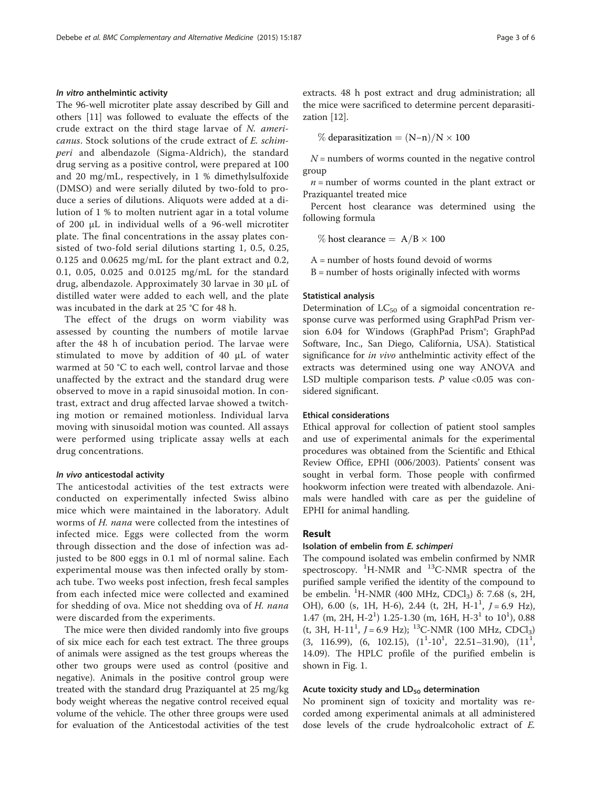#### In vitro anthelmintic activity

The 96-well microtiter plate assay described by Gill and others [[11\]](#page-5-0) was followed to evaluate the effects of the crude extract on the third stage larvae of N. americanus. Stock solutions of the crude extract of E. schimperi and albendazole (Sigma-Aldrich), the standard drug serving as a positive control, were prepared at 100 and 20 mg/mL, respectively, in 1 % dimethylsulfoxide (DMSO) and were serially diluted by two-fold to produce a series of dilutions. Aliquots were added at a dilution of 1 % to molten nutrient agar in a total volume of 200 μL in individual wells of a 96-well microtiter plate. The final concentrations in the assay plates consisted of two-fold serial dilutions starting 1, 0.5, 0.25, 0.125 and 0.0625 mg/mL for the plant extract and 0.2, 0.1, 0.05, 0.025 and 0.0125 mg/mL for the standard drug, albendazole. Approximately 30 larvae in 30 μL of distilled water were added to each well, and the plate was incubated in the dark at 25 °C for 48 h.

The effect of the drugs on worm viability was assessed by counting the numbers of motile larvae after the 48 h of incubation period. The larvae were stimulated to move by addition of 40 μL of water warmed at 50 °C to each well, control larvae and those unaffected by the extract and the standard drug were observed to move in a rapid sinusoidal motion. In contrast, extract and drug affected larvae showed a twitching motion or remained motionless. Individual larva moving with sinusoidal motion was counted. All assays were performed using triplicate assay wells at each drug concentrations.

## In vivo anticestodal activity

The anticestodal activities of the test extracts were conducted on experimentally infected Swiss albino mice which were maintained in the laboratory. Adult worms of H. nana were collected from the intestines of infected mice. Eggs were collected from the worm through dissection and the dose of infection was adjusted to be 800 eggs in 0.1 ml of normal saline. Each experimental mouse was then infected orally by stomach tube. Two weeks post infection, fresh fecal samples from each infected mice were collected and examined for shedding of ova. Mice not shedding ova of H. nana were discarded from the experiments.

The mice were then divided randomly into five groups of six mice each for each test extract. The three groups of animals were assigned as the test groups whereas the other two groups were used as control (positive and negative). Animals in the positive control group were treated with the standard drug Praziquantel at 25 mg/kg body weight whereas the negative control received equal volume of the vehicle. The other three groups were used for evaluation of the Anticestodal activities of the test extracts. 48 h post extract and drug administration; all the mice were sacrificed to determine percent deparasitization [[12](#page-5-0)].

% deparasitization =  $(N-n)/N \times 100$ 

 $N =$  numbers of worms counted in the negative control group

 $n =$  number of worms counted in the plant extract or Praziquantel treated mice

Percent host clearance was determined using the following formula

% host clearance  $= A/B \times 100$ 

A = number of hosts found devoid of worms

 $B =$  number of hosts originally infected with worms

#### Statistical analysis

Determination of  $LC_{50}$  of a sigmoidal concentration response curve was performed using GraphPad Prism version 6.04 for Windows (GraphPad Prism®; GraphPad Software, Inc., San Diego, California, USA). Statistical significance for *in vivo* anthelmintic activity effect of the extracts was determined using one way ANOVA and LSD multiple comparison tests.  $P$  value <0.05 was considered significant.

#### Ethical considerations

Ethical approval for collection of patient stool samples and use of experimental animals for the experimental procedures was obtained from the Scientific and Ethical Review Office, EPHI (006/2003). Patients' consent was sought in verbal form. Those people with confirmed hookworm infection were treated with albendazole. Animals were handled with care as per the guideline of EPHI for animal handling.

# Result

#### Isolation of embelin from E. schimperi

The compound isolated was embelin confirmed by NMR spectroscopy. <sup>1</sup>H-NMR and <sup>13</sup>C-NMR spectra of the purified sample verified the identity of the compound to be embelin. <sup>1</sup>H-NMR (400 MHz, CDCl<sub>3</sub>) δ: 7.68 (s, 2H, OH), 6.00 (s, 1H, H-6), 2.44 (t, 2H, H- $1^1$ ,  $J = 6.9$  Hz), 1.47 (m, 2H, H-2<sup>1</sup>) 1.25-1.30 (m, 16H, H-3<sup>1</sup> to  $10<sup>1</sup>$ ), 0.88  $(t, 3H, H-11<sup>1</sup>, J = 6.9 Hz);$  <sup>13</sup>C-NMR (100 MHz, CDCl<sub>3</sub>)  $(3, 116.99), (6, 102.15), (1<sup>1</sup>-10<sup>1</sup>, 22.51-31.90), (11<sup>1</sup>,$ 14.09). The HPLC profile of the purified embelin is shown in Fig. [1](#page-3-0).

#### Acute toxicity study and  $LD_{50}$  determination

No prominent sign of toxicity and mortality was recorded among experimental animals at all administered dose levels of the crude hydroalcoholic extract of E.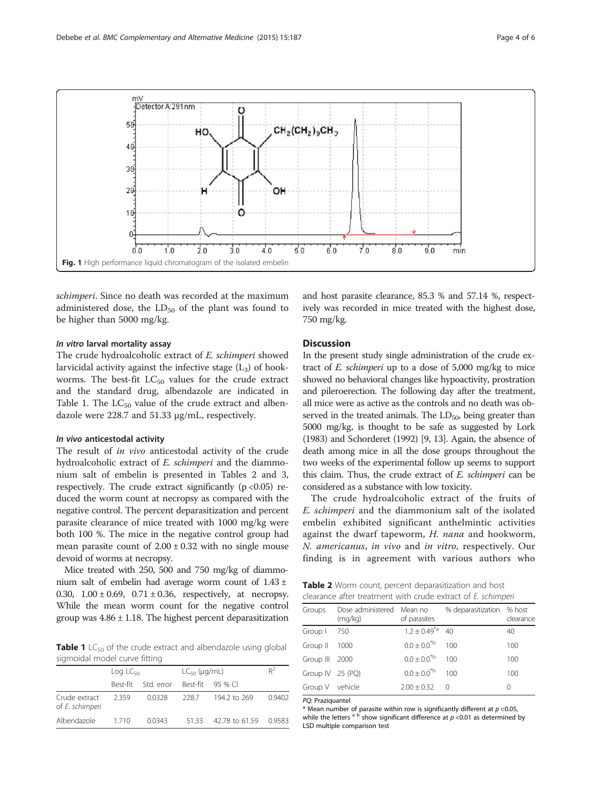<span id="page-3-0"></span>

schimperi. Since no death was recorded at the maximum administered dose, the  $LD_{50}$  of the plant was found to be higher than 5000 mg/kg.

#### In vitro larval mortality assay

The crude hydroalcoholic extract of E. schimperi showed larvicidal activity against the infective stage  $(L_3)$  of hookworms. The best-fit  $LC_{50}$  values for the crude extract and the standard drug, albendazole are indicated in Table 1. The  $LC_{50}$  value of the crude extract and albendazole were 228.7 and 51.33 μg/mL, respectively.

#### In vivo anticestodal activity

The result of in vivo anticestodal activity of the crude hydroalcoholic extract of E. schimperi and the diammonium salt of embelin is presented in Tables 2 and [3](#page-4-0), respectively. The crude extract significantly  $(p < 0.05)$  reduced the worm count at necropsy as compared with the negative control. The percent deparasitization and percent parasite clearance of mice treated with 1000 mg/kg were both 100 %. The mice in the negative control group had mean parasite count of  $2.00 \pm 0.32$  with no single mouse devoid of worms at necropsy.

Mice treated with 250, 500 and 750 mg/kg of diammonium salt of embelin had average worm count of  $1.43 \pm$ 0.30,  $1.00 \pm 0.69$ ,  $0.71 \pm 0.36$ , respectively, at necropsy. While the mean worm count for the negative control group was  $4.86 \pm 1.18$ . The highest percent deparasitization

**Table 1** LC $_{50}$  of the crude extract and albendazole using global sigmoidal model curve fitting

|                                  | $\text{Log LC}_{50}$ |            | $LC_{50}$ (µg/mL) |                    | $R^2$  |
|----------------------------------|----------------------|------------|-------------------|--------------------|--------|
|                                  | Rest-fit             | Std. error |                   | Best-fit $95\%$ CL |        |
| Crude extract<br>of E. schimperi | 2359                 | 0.0328     | 228.7             | 194.2 to 269       | 0.9402 |
| Albendazole                      | 1710                 | 0.0343     | 5133              | 42.78 to 61.59     | 09583  |

and host parasite clearance, 85.3 % and 57.14 %, respectively was recorded in mice treated with the highest dose, 750 mg/kg.

#### **Discussion**

In the present study single administration of the crude extract of E. schimperi up to a dose of 5,000 mg/kg to mice showed no behavioral changes like hypoactivity, prostration and pileroerection. The following day after the treatment, all mice were as active as the controls and no death was observed in the treated animals. The  $LD_{50}$ , being greater than 5000 mg/kg, is thought to be safe as suggested by Lork (1983) and Schorderet (1992) [[9](#page-5-0), [13\]](#page-5-0). Again, the absence of death among mice in all the dose groups throughout the two weeks of the experimental follow up seems to support this claim. Thus, the crude extract of  $E$ . schimperi can be considered as a substance with low toxicity.

The crude hydroalcoholic extract of the fruits of E. schimperi and the diammonium salt of the isolated embelin exhibited significant anthelmintic activities against the dwarf tapeworm, H. nana and hookworm, N. americanus, in vivo and in vitro, respectively. Our finding is in agreement with various authors who

|  | Table 2 Worm count, percent deparasitization and host       |  |
|--|-------------------------------------------------------------|--|
|  | clearance after treatment with crude extract of E. schimper |  |

| Groups           | Dose administered Mean no<br>(mq/kg) | of parasites           | % deparasitization % host | clearance |
|------------------|--------------------------------------|------------------------|---------------------------|-----------|
| Group I          | - 750                                | $1.2 \pm 0.49^{*a}$ 40 |                           | 40        |
| Group II         | 1000                                 | $0.0 \pm 0.0^{*b}$     | 100                       | 100       |
| Group III 2000   |                                      | $0.0 \pm 0.0^{*b}$     | 100                       | 100       |
| Group IV 25 (PQ) |                                      | $0.0 \pm 0.0^{*b}$     | 100                       | 100       |
| Group V vehicle  |                                      | $2.00 \pm 0.32$ 0      |                           | 0         |
|                  |                                      |                        |                           |           |

PQ: Praziquantel

\* Mean number of parasite within row is significantly different at  $p < 0.05$ , while the letters  $a^b$  show significant difference at  $p < 0.01$  as determined by LSD multiple comparison test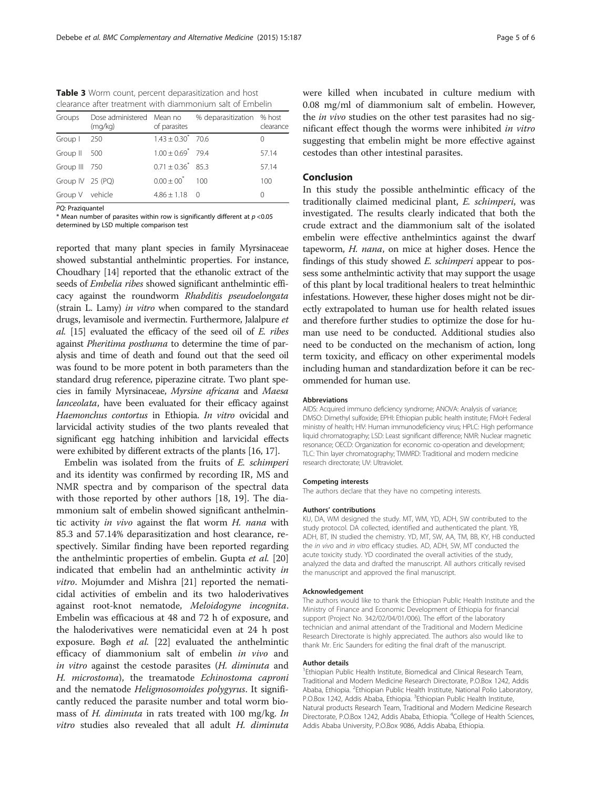<span id="page-4-0"></span>Table 3 Worm count, percent deparasitization and host clearance after treatment with diammonium salt of Embelin

| Groups           | Dose administered Mean no<br>(mq/kg) | of parasites           | % deparasitization % host | clearance        |
|------------------|--------------------------------------|------------------------|---------------------------|------------------|
| Group I          | - 250                                | $1.43 \pm 0.30^*$ 70.6 |                           | $\left( \right)$ |
| Group II 500     |                                      | $1.00 \pm 0.69^*$ 79.4 |                           | 57.14            |
| Group III 750    |                                      | $0.71 \pm 0.36^*$ 85.3 |                           | 57.14            |
| Group IV 25 (PQ) |                                      | $0.00 + 00^*$ 100      |                           | 100              |
| Group V vehicle  |                                      | $4.86 \pm 1.18$ 0      |                           | 0                |
|                  |                                      |                        |                           |                  |

PO: Praziquantel

\* Mean number of parasites within row is significantly different at  $p < 0.05$ determined by LSD multiple comparison test

reported that many plant species in family Myrsinaceae showed substantial anthelmintic properties. For instance, Choudhary [\[14\]](#page-5-0) reported that the ethanolic extract of the seeds of Embelia ribes showed significant anthelmintic efficacy against the roundworm Rhabditis pseudoelongata (strain L. Lamy) in vitro when compared to the standard drugs, levamisole and ivermectin. Furthermore, Jalalpure et al. [\[15](#page-5-0)] evaluated the efficacy of the seed oil of E. ribes against Pheritima posthuma to determine the time of paralysis and time of death and found out that the seed oil was found to be more potent in both parameters than the standard drug reference, piperazine citrate. Two plant species in family Myrsinaceae, Myrsine africana and Maesa lanceolata, have been evaluated for their efficacy against Haemonchus contortus in Ethiopia. In vitro ovicidal and larvicidal activity studies of the two plants revealed that significant egg hatching inhibition and larvicidal effects were exhibited by different extracts of the plants [[16](#page-5-0), [17](#page-5-0)].

Embelin was isolated from the fruits of E. schimperi and its identity was confirmed by recording IR, MS and NMR spectra and by comparison of the spectral data with those reported by other authors [[18, 19](#page-5-0)]. The diammonium salt of embelin showed significant anthelmintic activity in vivo against the flat worm H. nana with 85.3 and 57.14% deparasitization and host clearance, respectively. Similar finding have been reported regarding the anthelmintic properties of embelin. Gupta et al. [[20](#page-5-0)] indicated that embelin had an anthelmintic activity in vitro. Mojumder and Mishra [\[21](#page-5-0)] reported the nematicidal activities of embelin and its two haloderivatives against root-knot nematode, Meloidogyne incognita. Embelin was efficacious at 48 and 72 h of exposure, and the haloderivatives were nematicidal even at 24 h post exposure. Bøgh et al. [[22](#page-5-0)] evaluated the anthelmintic efficacy of diammonium salt of embelin in vivo and in vitro against the cestode parasites (H. diminuta and H. microstoma), the treamatode Echinostoma caproni and the nematode Heligmosomoides polygyrus. It significantly reduced the parasite number and total worm biomass of H. diminuta in rats treated with 100 mg/kg. In vitro studies also revealed that all adult H. diminuta were killed when incubated in culture medium with 0.08 mg/ml of diammonium salt of embelin. However, the *in vivo* studies on the other test parasites had no significant effect though the worms were inhibited in vitro suggesting that embelin might be more effective against cestodes than other intestinal parasites.

# Conclusion

In this study the possible anthelmintic efficacy of the traditionally claimed medicinal plant, E. schimperi, was investigated. The results clearly indicated that both the crude extract and the diammonium salt of the isolated embelin were effective anthelmintics against the dwarf tapeworm, H. nana, on mice at higher doses. Hence the findings of this study showed E. schimperi appear to possess some anthelmintic activity that may support the usage of this plant by local traditional healers to treat helminthic infestations. However, these higher doses might not be directly extrapolated to human use for health related issues and therefore further studies to optimize the dose for human use need to be conducted. Additional studies also need to be conducted on the mechanism of action, long term toxicity, and efficacy on other experimental models including human and standardization before it can be recommended for human use.

#### Abbreviations

AIDS: Acquired immuno deficiency syndrome; ANOVA: Analysis of variance; DMSO: Dimethyl sulfoxide; EPHI: Ethiopian public health institute; FMoH: Federal ministry of health; HIV: Human immunodeficiency virus; HPLC: High performance liquid chromatography; LSD: Least significant difference; NMR: Nuclear magnetic resonance; OECD: Organization for economic co-operation and development; TLC: Thin layer chromatography; TMMRD: Traditional and modern medicine research directorate; UV: Ultraviolet.

#### Competing interests

The authors declare that they have no competing interests.

#### Authors' contributions

KU, DA, WM designed the study. MT, WM, YD, ADH, SW contributed to the study protocol. DA collected, identified and authenticated the plant. YB, ADH, BT, IN studied the chemistry. YD, MT, SW, AA, TM, BB, KY, HB conducted the in vivo and in vitro efficacy studies. AD, ADH, SW, MT conducted the acute toxicity study. YD coordinated the overall activities of the study, analyzed the data and drafted the manuscript. All authors critically revised the manuscript and approved the final manuscript.

#### Acknowledgement

The authors would like to thank the Ethiopian Public Health Institute and the Ministry of Finance and Economic Development of Ethiopia for financial support (Project No. 342/02/04/01/006). The effort of the laboratory technician and animal attendant of the Traditional and Modern Medicine Research Directorate is highly appreciated. The authors also would like to thank Mr. Eric Saunders for editing the final draft of the manuscript.

#### Author details

<sup>1</sup> Ethiopian Public Health Institute, Biomedical and Clinical Research Team, Traditional and Modern Medicine Research Directorate, P.O.Box 1242, Addis Ababa, Ethiopia. <sup>2</sup> Ethiopian Public Health Institute, National Polio Laboratory, P.O.Box 1242, Addis Ababa, Ethiopia. <sup>3</sup>Ethiopian Public Health Institute, Natural products Research Team, Traditional and Modern Medicine Research Directorate, P.O.Box 1242, Addis Ababa, Ethiopia. <sup>4</sup>College of Health Sciences Addis Ababa University, P.O.Box 9086, Addis Ababa, Ethiopia.